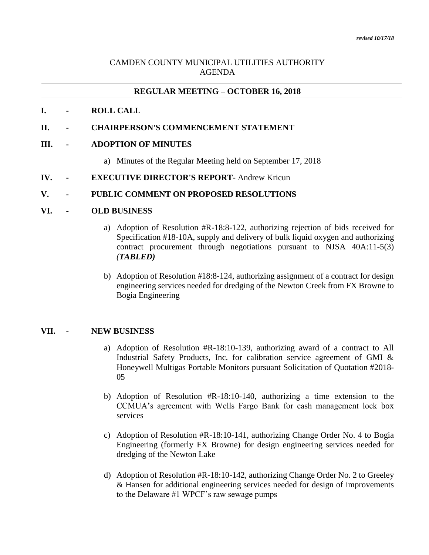# CAMDEN COUNTY MUNICIPAL UTILITIES AUTHORITY AGENDA

# **REGULAR MEETING – OCTOBER 16, 2018**

### **I. - ROLL CALL**

## **II. - CHAIRPERSON'S COMMENCEMENT STATEMENT**

#### **III. - ADOPTION OF MINUTES**

- a) Minutes of the Regular Meeting held on September 17, 2018
- **IV. - EXECUTIVE DIRECTOR'S REPORT** Andrew Kricun

# **V. - PUBLIC COMMENT ON PROPOSED RESOLUTIONS**

### **VI. - OLD BUSINESS**

- a) Adoption of Resolution #R-18:8-122, authorizing rejection of bids received for Specification #18-10A, supply and delivery of bulk liquid oxygen and authorizing contract procurement through negotiations pursuant to NJSA 40A:11-5(3) *(TABLED)*
- b) Adoption of Resolution #18:8-124, authorizing assignment of a contract for design engineering services needed for dredging of the Newton Creek from FX Browne to Bogia Engineering

#### **VII. - NEW BUSINESS**

- a) Adoption of Resolution #R-18:10-139, authorizing award of a contract to All Industrial Safety Products, Inc. for calibration service agreement of GMI & Honeywell Multigas Portable Monitors pursuant Solicitation of Quotation #2018- 05
- b) Adoption of Resolution #R-18:10-140, authorizing a time extension to the CCMUA's agreement with Wells Fargo Bank for cash management lock box services
- c) Adoption of Resolution #R-18:10-141, authorizing Change Order No. 4 to Bogia Engineering (formerly FX Browne) for design engineering services needed for dredging of the Newton Lake
- d) Adoption of Resolution #R-18:10-142, authorizing Change Order No. 2 to Greeley & Hansen for additional engineering services needed for design of improvements to the Delaware #1 WPCF's raw sewage pumps